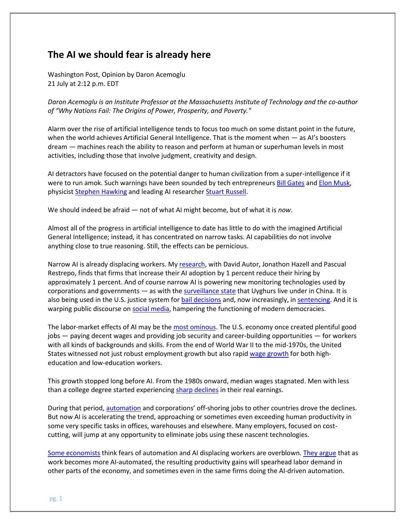## **The AI we should fear is already here**

Washington Post, Opinion by Daron Acemoglu 21 July at 2:12 p.m. EDT

*Daron Acemoglu is an Institute Professor at the Massachusetts Institute of Technology and the co-author of "Why Nations Fail: The Origins of Power, Prosperity, and Poverty."*

Alarm over the rise of artificial intelligence tends to focus too much on some distant point in the future, when the world achieves Artificial General Intelligence. That is the moment when — as AI's boosters dream — machines reach the ability to reason and perform at human or superhuman levels in most activities, including those that involve judgment, creativity and design.

AI detractors have focused on the potential danger to human civilization from a super-intelligence if it were to run amok. Such warnings have been sounded by tech entrepreneurs [Bill Gates](https://www.popsci.com/bill-gates-fears-ai-ai-researchers-know-better/) and [Elon Musk,](https://www.vanityfair.com/news/2017/03/elon-musk-billion-dollar-crusade-to-stop-ai-space-x) physicist [Stephen Hawking](https://www.bbc.com/news/technology-30290540) and leading AI researcher [Stuart Russell.](https://www.amazon.com/Human-Compatible-Artificial-Intelligence-Problem/dp/0525558632/)

We should indeed be afraid — not of what AI might become, but of what it is *now*.

Almost all of the progress in artificial intelligence to date has little to do with the imagined Artificial General Intelligence; instead, it has concentrated on narrow tasks. AI capabilities do not involve anything close to true reasoning. Still, the effects can be pernicious.

Narrow AI is already displacing workers. My [research,](https://economics.mit.edu/files/20931) with David Autor, Jonathon Hazell and Pascual Restrepo, finds that firms that increase their AI adoption by 1 percent reduce their hiring by approximately 1 percent. And of course narrow AI is powering new monitoring technologies used by corporations and governments — as with th[e surveillance state](https://www.washingtonpost.com/opinions/us-made-technologies-are-aiding-chinas-surveillance-of-uighurs-how-should-washington-respond/2020/11/26/0218bbb4-2dc9-11eb-bae0-50bb17126614_story.html?itid=lk_inline_manual_10) that Uyghurs live under in China. It is also being used in the U.S. justice system for [bail decisions](https://www.wired.com/story/algorithms-supposed-fix-bail-system-they-havent/) and, now increasingly, in [sentencing.](https://www.wired.com/2017/04/courts-using-ai-sentence-criminals-must-stop-now/) And it is warping public discourse on [social media,](https://www.brookings.edu/research/how-to-deal-with-ai-enabled-disinformation/) hampering the functioning of modern democracies.

The labor-market effects of AI may be the [most ominous.](https://www.theguardian.com/technology/2020/nov/27/robots-replacing-jobs-automation-unemployment-us) The U.S. economy once created plentiful good jobs — paying decent wages and providing job security and career-building opportunities — for workers with all kinds of backgrounds and skills. From the end of World War II to the mid-1970s, the United States witnessed not just robust employment growth but also rapid [wage growth](https://economics.mit.edu/files/7006) for both higheducation and low-education workers.

This growth stopped long before AI. From the 1980s onward, median wages stagnated. Men with less than a college degree started experiencing [sharp declines](https://economics.mit.edu/files/7006) in their real earnings.

During that period[, automation](https://economics.mit.edu/files/21564) and corporations' off-shoring jobs to other countries drove the declines. But now AI is accelerating the trend, approaching or sometimes even exceeding human productivity in some very specific tasks in offices, warehouses and elsewhere. Many employers, focused on costcutting, will jump at any opportunity to eliminate jobs using these nascent technologies.

[Some economists](https://www.economist.com/special-report/2021-04-10) think fears of automation and AI displacing workers are overblown. [They argue](https://www.weforum.org/agenda/2020/10/dont-fear-ai-it-will-lead-to-long-term-job-growth/) that as work becomes more AI-automated, the resulting productivity gains will spearhead labor demand in other parts of the economy, and sometimes even in the same firms doing the AI-driven automation.